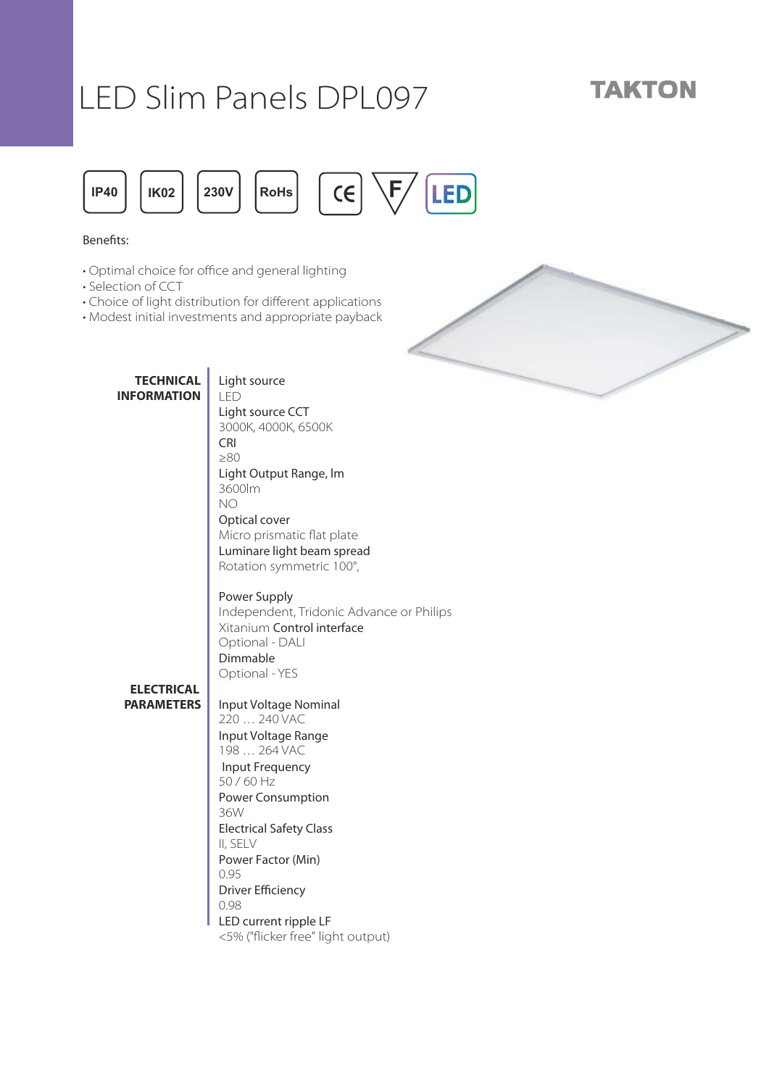# LED Slim Panels DPL097

## **TAKTON**



#### Benefits:

- Optimal choice for office and general lighting
- Selection of CCT
- Choice of light distribution for different applications
- Modest initial investments and appropriate payback



**ELECTRICAL PARAMETERS** Light source LED Light source CCT 3000K, 4000K, 6500K CRI ≥80 Light Output Range, lm 3600lm NO Optical cover Micro prismatic flat plate Luminare light beam spread Rotation symmetric 100°, Power Supply I ndependent, Tridonic Advance or Philips Xitanium Control interface Optional - DALI Dimmable Optional - YES Input Voltage Nominal 220 … 240 VAC Input Voltage Range 198 … 264 VAC Input Frequency 50 / 60 Hz Power Consumption 36W Electrical Safety Class II, SELV Power Factor (Min) 0.95 Driver Efficiency 0.98 LED current ripple LF

<5% ("flicker free" light output)

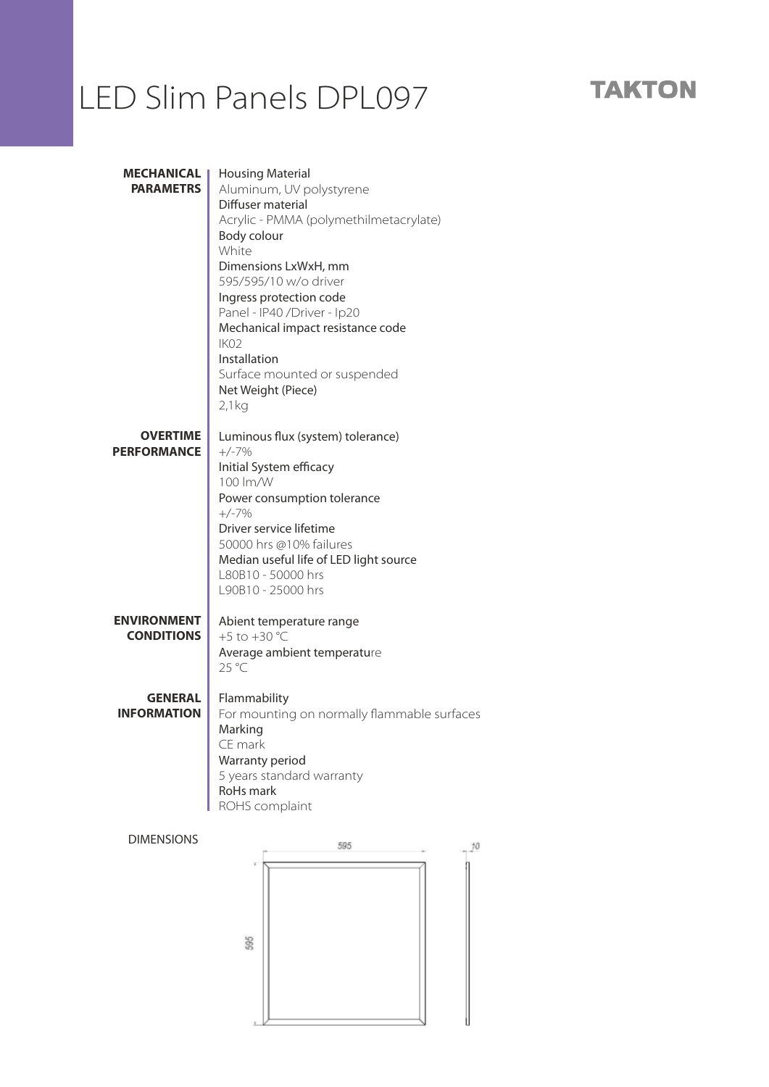## LED Slim Panels DPL097

#### **MECHANICAL**  Housing Material **PARAMETRS** Aluminum, UV polystyrene Diffuser material Acrylic - PMMA (polymethilmetacrylate) Body colour White Dimensions LxWxH, mm 595/595/10 w/o driver Ingress protection code Panel - IP40 /Driver - Ip20 Mechanical impact resistance code IK02 Installation Surface mounted or suspended Net Weight (Piece) 2,1kg **OVERTIME**  Luminous flux (system) tolerance) **PERFORMANCE** +/-7% Initial System efficacy 100 lm/W Power consumption tolerance +/-7% Driver service lifetime 50000 hrs @10% failures Median useful life of LED light source L80B10 - 50000 hrs L90B10 - 25000 hrs **ENVIRONMENT** Abient temperature range **CONDITIONS** +5 to  $+30 °C$ Average ambient temperature 25 °C **GENERAL**  Flammability For mounting on normally flammable surfaces **INFORMATION** Marking CE mark Warranty period 5 years standard warranty RoHs mark ROHS complaint DIMENSIONS595  $10$



595

### **TAKTON**